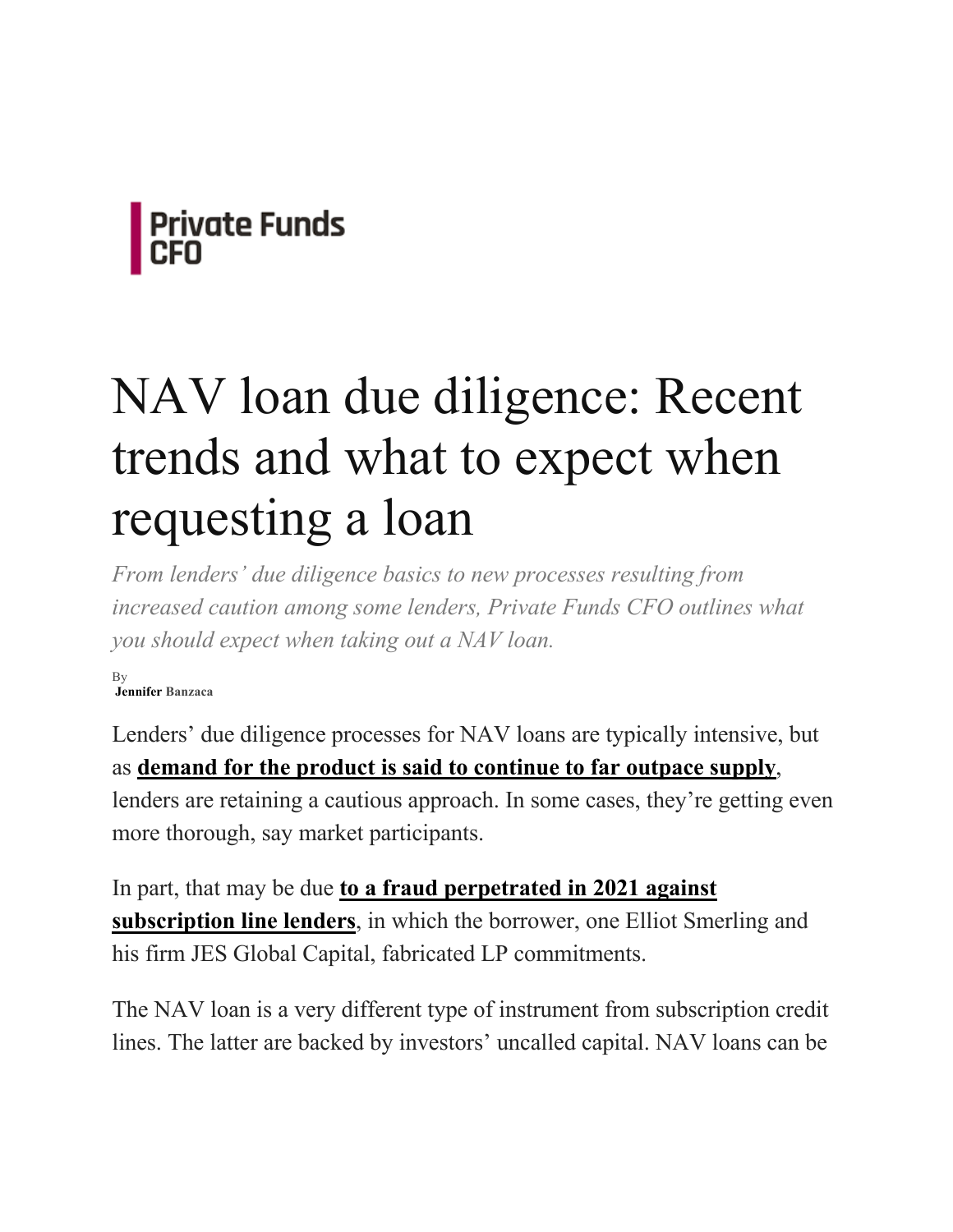

# NAV loan due diligence: Recent trends and what to expect when requesting a loan

*From lenders' due diligence basics to new processes resulting from increased caution among some lenders, Private Funds CFO outlines what you should expect when taking out a NAV loan.*

By **Jennifer Banzaca**

Lenders' due diligence processes for NAV loans are typically intensive, but as **demand for the product is said to continue to far outpace supply**, lenders are retaining a cautious approach. In some cases, they're getting even more thorough, say market participants.

In part, that may be due **to a fraud perpetrated in 2021 against subscription line lenders**, in which the borrower, one Elliot Smerling and his firm JES Global Capital, fabricated LP commitments.

The NAV loan is a very different type of instrument from subscription credit lines. The latter are backed by investors' uncalled capital. NAV loans can be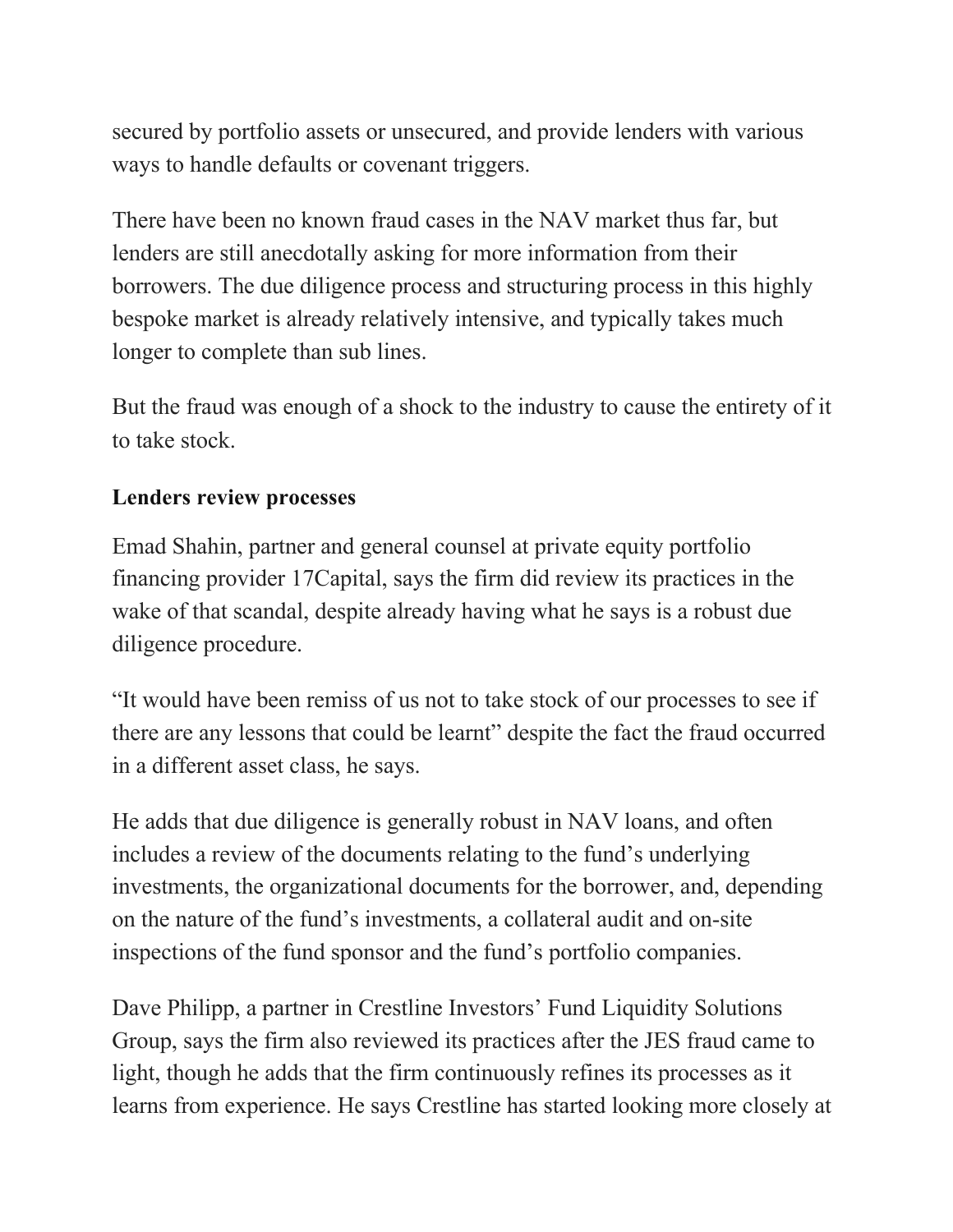secured by portfolio assets or unsecured, and provide lenders with various ways to handle defaults or covenant triggers.

There have been no known fraud cases in the NAV market thus far, but lenders are still anecdotally asking for more information from their borrowers. The due diligence process and structuring process in this highly bespoke market is already relatively intensive, and typically takes much longer to complete than sub lines.

But the fraud was enough of a shock to the industry to cause the entirety of it to take stock.

#### **Lenders review processes**

Emad Shahin, partner and general counsel at private equity portfolio financing provider 17Capital, says the firm did review its practices in the wake of that scandal, despite already having what he says is a robust due diligence procedure.

"It would have been remiss of us not to take stock of our processes to see if there are any lessons that could be learnt" despite the fact the fraud occurred in a different asset class, he says.

He adds that due diligence is generally robust in NAV loans, and often includes a review of the documents relating to the fund's underlying investments, the organizational documents for the borrower, and, depending on the nature of the fund's investments, a collateral audit and on-site inspections of the fund sponsor and the fund's portfolio companies.

Dave Philipp, a partner in Crestline Investors' Fund Liquidity Solutions Group, says the firm also reviewed its practices after the JES fraud came to light, though he adds that the firm continuously refines its processes as it learns from experience. He says Crestline has started looking more closely at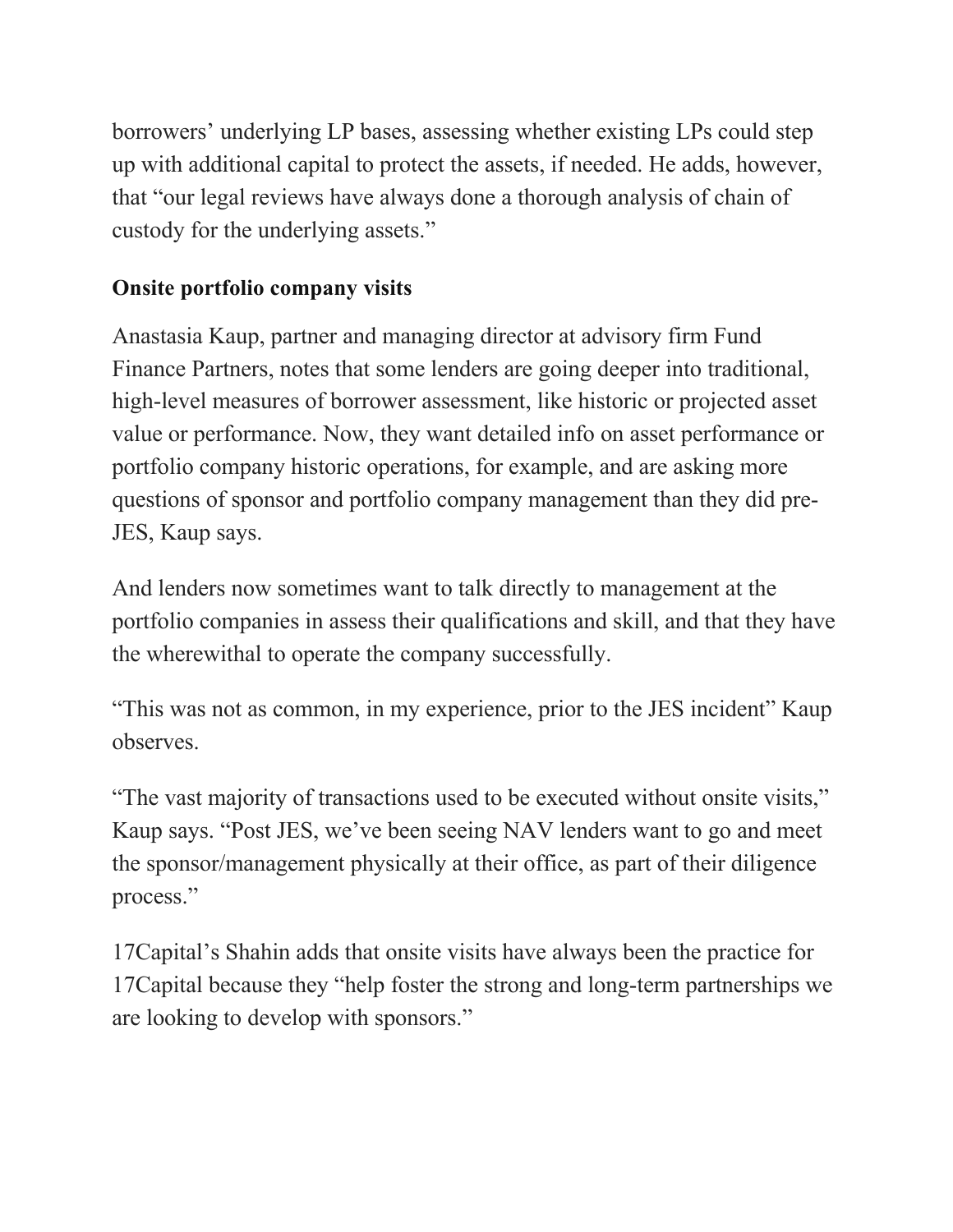borrowers' underlying LP bases, assessing whether existing LPs could step up with additional capital to protect the assets, if needed. He adds, however, that "our legal reviews have always done a thorough analysis of chain of custody for the underlying assets."

## **Onsite portfolio company visits**

Anastasia Kaup, partner and managing director at advisory firm Fund Finance Partners, notes that some lenders are going deeper into traditional, high-level measures of borrower assessment, like historic or projected asset value or performance. Now, they want detailed info on asset performance or portfolio company historic operations, for example, and are asking more questions of sponsor and portfolio company management than they did pre-JES, Kaup says.

And lenders now sometimes want to talk directly to management at the portfolio companies in assess their qualifications and skill, and that they have the wherewithal to operate the company successfully.

"This was not as common, in my experience, prior to the JES incident" Kaup observes.

"The vast majority of transactions used to be executed without onsite visits," Kaup says. "Post JES, we've been seeing NAV lenders want to go and meet the sponsor/management physically at their office, as part of their diligence process."

17Capital's Shahin adds that onsite visits have always been the practice for 17Capital because they "help foster the strong and long-term partnerships we are looking to develop with sponsors."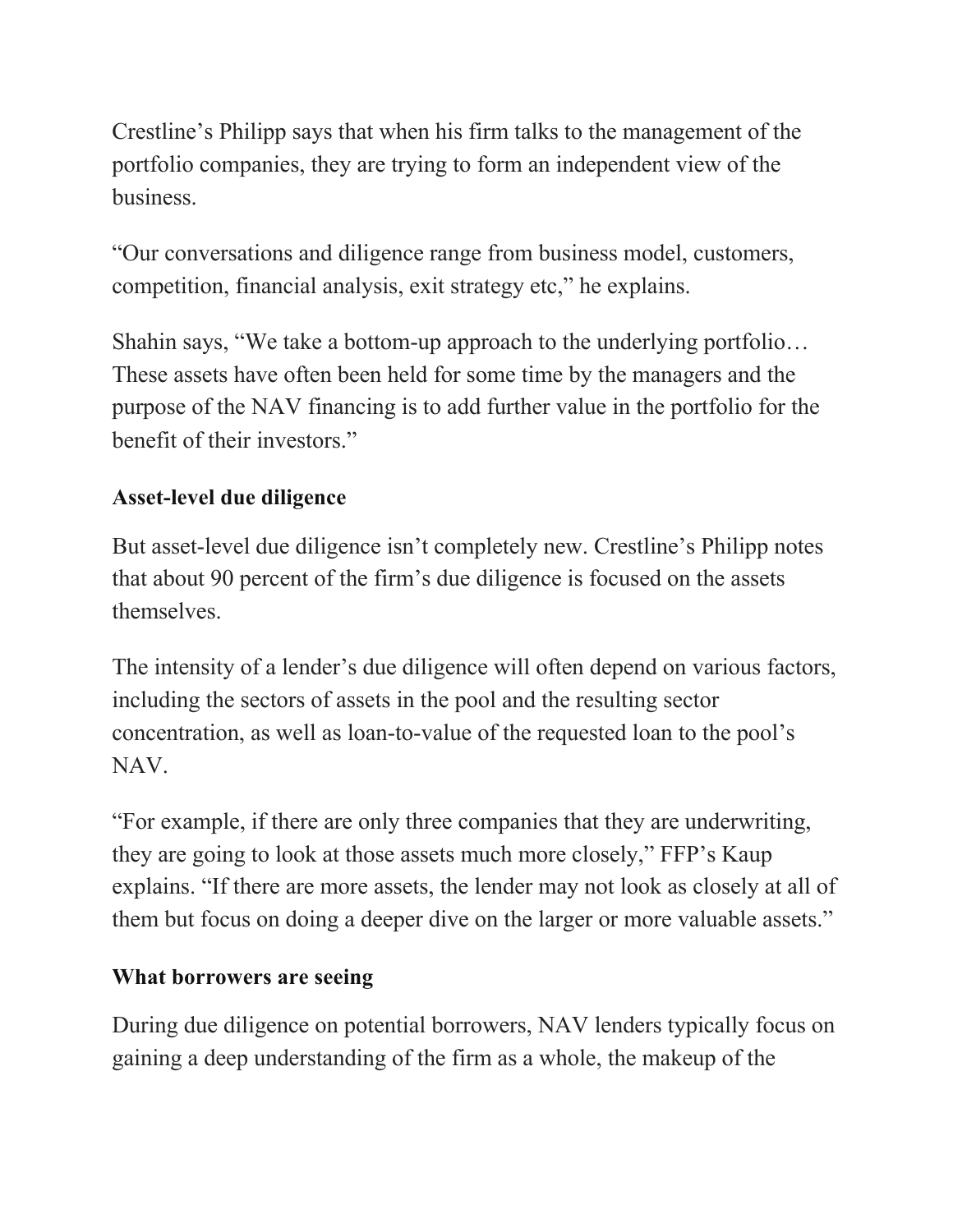Crestline's Philipp says that when his firm talks to the management of the portfolio companies, they are trying to form an independent view of the business.

"Our conversations and diligence range from business model, customers, competition, financial analysis, exit strategy etc," he explains.

Shahin says, "We take a bottom-up approach to the underlying portfolio… These assets have often been held for some time by the managers and the purpose of the NAV financing is to add further value in the portfolio for the benefit of their investors."

## **Asset-level due diligence**

But asset-level due diligence isn't completely new. Crestline's Philipp notes that about 90 percent of the firm's due diligence is focused on the assets themselves.

The intensity of a lender's due diligence will often depend on various factors, including the sectors of assets in the pool and the resulting sector concentration, as well as loan-to-value of the requested loan to the pool's NAV.

"For example, if there are only three companies that they are underwriting, they are going to look at those assets much more closely," FFP's Kaup explains. "If there are more assets, the lender may not look as closely at all of them but focus on doing a deeper dive on the larger or more valuable assets."

## **What borrowers are seeing**

During due diligence on potential borrowers, NAV lenders typically focus on gaining a deep understanding of the firm as a whole, the makeup of the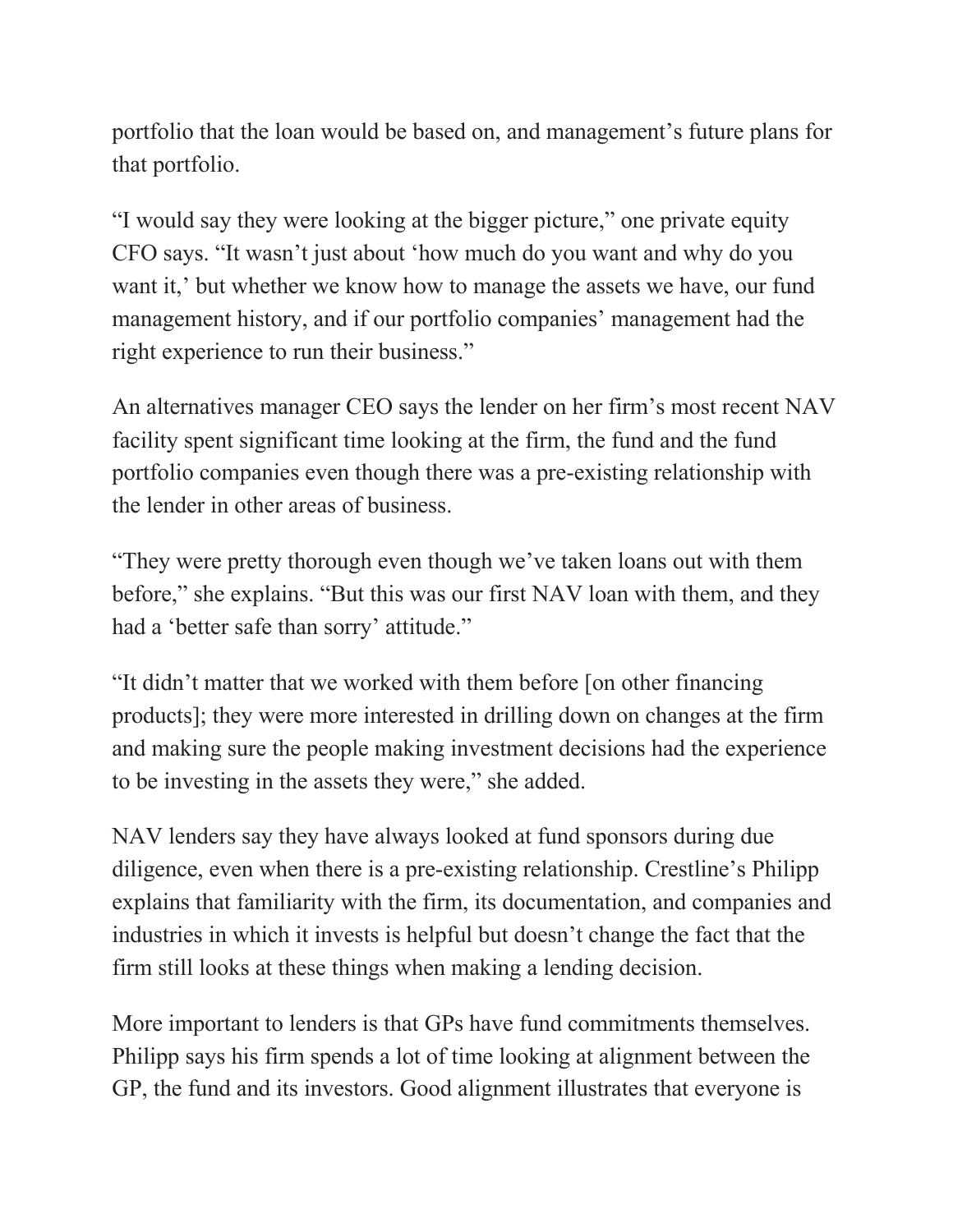portfolio that the loan would be based on, and management's future plans for that portfolio.

"I would say they were looking at the bigger picture," one private equity CFO says. "It wasn't just about 'how much do you want and why do you want it,' but whether we know how to manage the assets we have, our fund management history, and if our portfolio companies' management had the right experience to run their business."

An alternatives manager CEO says the lender on her firm's most recent NAV facility spent significant time looking at the firm, the fund and the fund portfolio companies even though there was a pre-existing relationship with the lender in other areas of business.

"They were pretty thorough even though we've taken loans out with them before," she explains. "But this was our first NAV loan with them, and they had a 'better safe than sorry' attitude."

"It didn't matter that we worked with them before [on other financing products]; they were more interested in drilling down on changes at the firm and making sure the people making investment decisions had the experience to be investing in the assets they were," she added.

NAV lenders say they have always looked at fund sponsors during due diligence, even when there is a pre-existing relationship. Crestline's Philipp explains that familiarity with the firm, its documentation, and companies and industries in which it invests is helpful but doesn't change the fact that the firm still looks at these things when making a lending decision.

More important to lenders is that GPs have fund commitments themselves. Philipp says his firm spends a lot of time looking at alignment between the GP, the fund and its investors. Good alignment illustrates that everyone is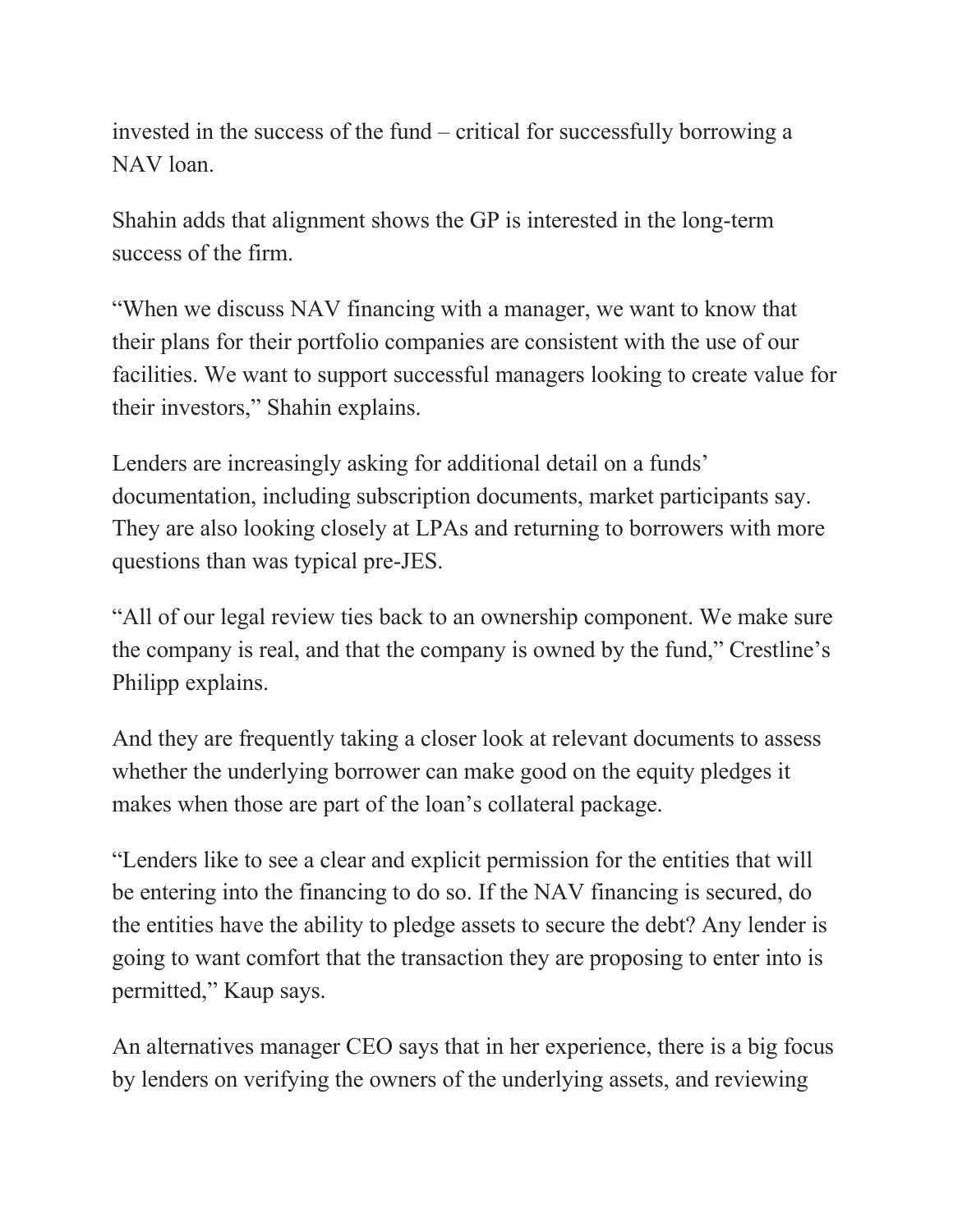invested in the success of the fund – critical for successfully borrowing a NAV loan.

Shahin adds that alignment shows the GP is interested in the long-term success of the firm.

"When we discuss NAV financing with a manager, we want to know that their plans for their portfolio companies are consistent with the use of our facilities. We want to support successful managers looking to create value for their investors," Shahin explains.

Lenders are increasingly asking for additional detail on a funds' documentation, including subscription documents, market participants say. They are also looking closely at LPAs and returning to borrowers with more questions than was typical pre-JES.

"All of our legal review ties back to an ownership component. We make sure the company is real, and that the company is owned by the fund," Crestline's Philipp explains.

And they are frequently taking a closer look at relevant documents to assess whether the underlying borrower can make good on the equity pledges it makes when those are part of the loan's collateral package.

"Lenders like to see a clear and explicit permission for the entities that will be entering into the financing to do so. If the NAV financing is secured, do the entities have the ability to pledge assets to secure the debt? Any lender is going to want comfort that the transaction they are proposing to enter into is permitted," Kaup says.

An alternatives manager CEO says that in her experience, there is a big focus by lenders on verifying the owners of the underlying assets, and reviewing